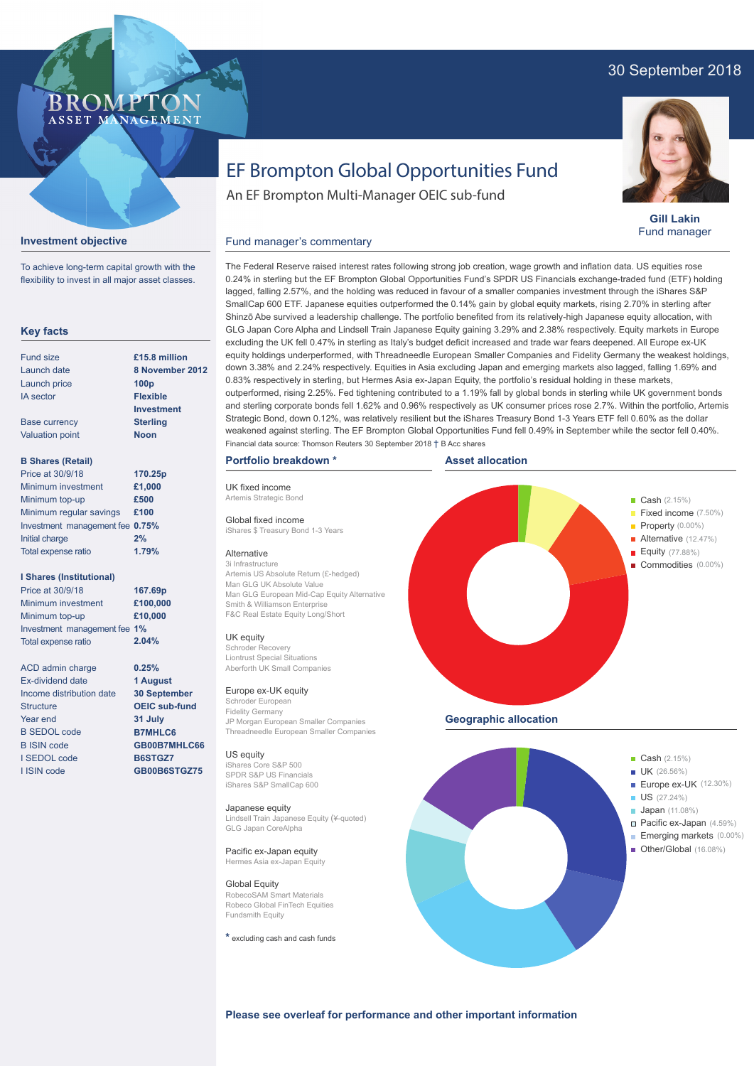# 30 September 2018



**Gill Lakin** Fund manager

# EF Brompton Global Opportunities Fund

An EF Brompton Multi-Manager OEIC sub-fund

Financial data source: Thomson Reuters 30 September 2018 † B Acc shares

## **Investment objective**

To achieve long-term capital growth with the flexibility to invest in all major asset classes.

**BROMPTO** ASSET MANAGEMENT

### **Key facts**

| Fund size              | £15.8 million     |  |  |  |
|------------------------|-------------------|--|--|--|
| Launch date            | 8 November 2012   |  |  |  |
| Launch price           | 100 <sub>p</sub>  |  |  |  |
| <b>IA</b> sector       | <b>Flexible</b>   |  |  |  |
|                        | <b>Investment</b> |  |  |  |
| <b>Base currency</b>   | <b>Sterling</b>   |  |  |  |
| <b>Valuation point</b> | Noon              |  |  |  |
|                        |                   |  |  |  |

## **B Shares (Retail)**

| Price at 30/9/18                | 170.25p |
|---------------------------------|---------|
| Minimum investment              | £1,000  |
| Minimum top-up                  | £500    |
| Minimum regular savings         | £100    |
| Investment management fee 0.75% |         |
| Initial charge                  | 2%      |
| Total expense ratio             | 1.79%   |

### **I Shares (Institutional)**

Minimum investment Minimum top-up Investment management fee **1%** Total expense ratio **£100,000 £10,000 167.69p** Price at 30/9/18 **2.04%**

> **0.25% 1 August 30 September OEIC sub-fund 31 July B7MHLC6 GB00B7MHLC66 B6STGZ7 GB00B6STGZ75**

ACD admin charge Ex-dividend date Income distribution date **Structure** Year end B SEDOL code B ISIN code I SEDOL code I ISIN code

The Federal Reserve raised interest rates following strong job creation, wage growth and inflation data. US equities rose 0.24% in sterling but the EF Brompton Global Opportunities Fund's SPDR US Financials exchange-traded fund (ETF) holding lagged, falling 2.57%, and the holding was reduced in favour of a smaller companies investment through the iShares S&P SmallCap 600 ETF. Japanese equities outperformed the 0.14% gain by global equity markets, rising 2.70% in sterling after Shinzō Abe survived a leadership challenge. The portfolio benefited from its relatively-high Japanese equity allocation, with GLG Japan Core Alpha and Lindsell Train Japanese Equity gaining 3.29% and 2.38% respectively. Equity markets in Europe excluding the UK fell 0.47% in sterling as Italy's budget deficit increased and trade war fears deepened. All Europe ex-UK equity holdings underperformed, with Threadneedle European Smaller Companies and Fidelity Germany the weakest holdings, down 3.38% and 2.24% respectively. Equities in Asia excluding Japan and emerging markets also lagged, falling 1.69% and 0.83% respectively in sterling, but Hermes Asia ex-Japan Equity, the portfolio's residual holding in these markets, outperformed, rising 2.25%. Fed tightening contributed to a 1.19% fall by global bonds in sterling while UK government bonds and sterling corporate bonds fell 1.62% and 0.96% respectively as UK consumer prices rose 2.7%. Within the portfolio, Artemis Strategic Bond, down 0.12%, was relatively resilient but the iShares Treasury Bond 1-3 Years ETF fell 0.60% as the dollar weakened against sterling. The EF Brompton Global Opportunities Fund fell 0.49% in September while the sector fell 0.40%. Fund manager's commentary

#### **Portfolio breakdown \***

Man GLG UK Absolute Value

Smith & Williamson Enterprise F&C Real Estate Equity Long/Short

UK fixed income Artemis Strategic Bond Global fixed income iShares \$ Treasury Bond 1-3 Years

Alternative 3i Infrastructure

UK equity Schroder Recovery Liontrust Special Situations Aberforth UK Small Companies Europe ex-UK equity Schroder Europea Fidelity Germany

US equity iShares Core S&P 500 SPDR S&P US Financials iShares S&P SmallCap 600

Japanese equity

Global Equity RobecoSAM Smart Materials

GLG Japan CoreAlpha Pacific ex-Japan equity Hermes Asia ex-Japan Equity **Asset allocation**



Robeco Global FinTech Equities Fundsmith Equity **\*** excluding cash and cash funds

**Please see overleaf for performance and other important information**